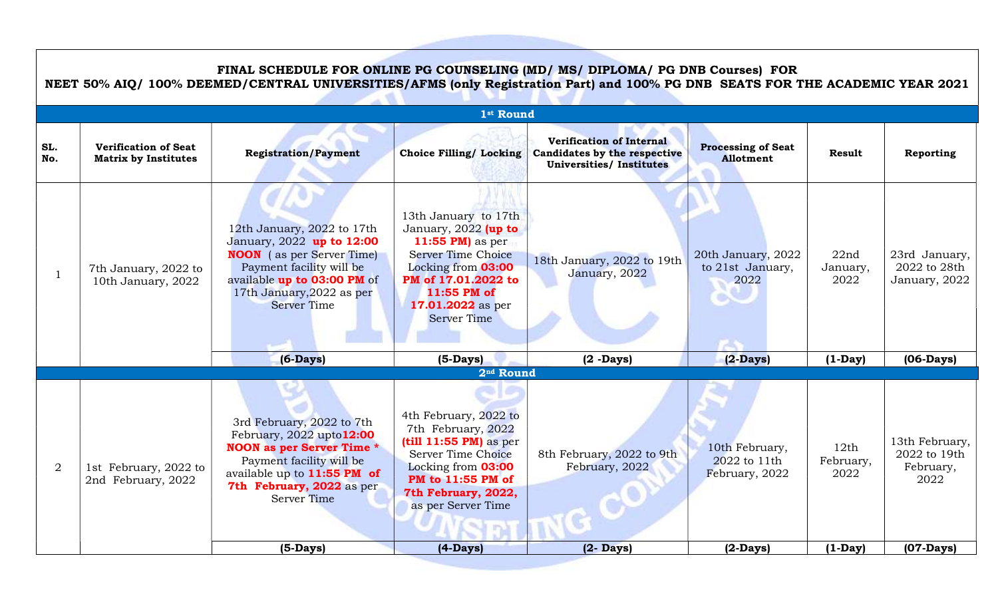## FINAL SCHEDULE FOR ONLINE PG COUNSELING (MD/ MS/ DIPLOMA/ PG DNB Courses) FOR

NEET 50% AIQ/ 100% DEEMED/CENTRAL UNIVERSITIES/AFMS (only Registration Part) and 100% PG DNB SEATS FOR THE ACADEMIC YEAR 2021

| 1 <sup>st</sup> Round |                                                            |                                                                                                                                                                                                              |                                                                                                                                                                                               |                                                                                                          |                                                  |                           |                                                     |
|-----------------------|------------------------------------------------------------|--------------------------------------------------------------------------------------------------------------------------------------------------------------------------------------------------------------|-----------------------------------------------------------------------------------------------------------------------------------------------------------------------------------------------|----------------------------------------------------------------------------------------------------------|--------------------------------------------------|---------------------------|-----------------------------------------------------|
| SL.<br>No.            | <b>Verification of Seat</b><br><b>Matrix by Institutes</b> | <b>Registration/Payment</b>                                                                                                                                                                                  | <b>Choice Filling/ Locking</b>                                                                                                                                                                | <b>Verification of Internal</b><br><b>Candidates by the respective</b><br><b>Universities/Institutes</b> | <b>Processing of Seat</b><br>Allotment           | <b>Result</b>             | Reporting                                           |
|                       | 7th January, 2022 to<br>10th January, 2022                 | 12th January, 2022 to 17th<br>January, 2022 up to 12:00<br><b>NOON</b> (as per Server Time)<br>Payment facility will be<br>available up to 03:00 PM of<br>17th January, 2022 as per<br><b>Server Time</b>    | 13th January to 17th<br>January, 2022 (up to<br>11:55 PM) as per<br>Server Time Choice<br>Locking from 03:00<br>PM of 17.01.2022 to<br>11:55 PM of<br>17.01.2022 as per<br><b>Server Time</b> | 18th January, 2022 to 19th<br>January, 2022                                                              | 20th January, 2022<br>to 21st January,<br>2022   | 22nd<br>January,<br>2022  | 23rd January,<br>2022 to 28th<br>January, 2022      |
|                       |                                                            | $(6-Days)$                                                                                                                                                                                                   | $(5-Days)$                                                                                                                                                                                    | $(2 -$ Days $)$                                                                                          | $(2-Days)$                                       | $(1-Day)$                 | $(06-Days)$                                         |
|                       |                                                            |                                                                                                                                                                                                              | 2 <sup>nd</sup> Round                                                                                                                                                                         |                                                                                                          |                                                  |                           |                                                     |
| $\overline{2}$        | 1st February, 2022 to<br>2nd February, 2022                | 3rd February, 2022 to 7th<br>February, $2022$ upto $12:00$<br><b>NOON</b> as per Server Time *<br>Payment facility will be<br>available up to 11:55 PM of<br>7th February, 2022 as per<br><b>Server Time</b> | 4th February, 2022 to<br>7th February, 2022<br>$(till 11:55 PM)$ as per<br>Server Time Choice<br>Locking from 03:00<br>PM to 11:55 PM of<br>7th February, 2022,<br>as per Server Time         | 8th February, 2022 to 9th<br>February, 2022                                                              | 10th February,<br>2022 to 11th<br>February, 2022 | 12th<br>February,<br>2022 | 13th February,<br>2022 to 19th<br>February,<br>2022 |
|                       |                                                            | $(5-Days)$                                                                                                                                                                                                   | $(4-Days)$                                                                                                                                                                                    | $(2 -$ Days $)$                                                                                          | $(2-Days)$                                       | $(1-Day)$                 | $(07-Days)$                                         |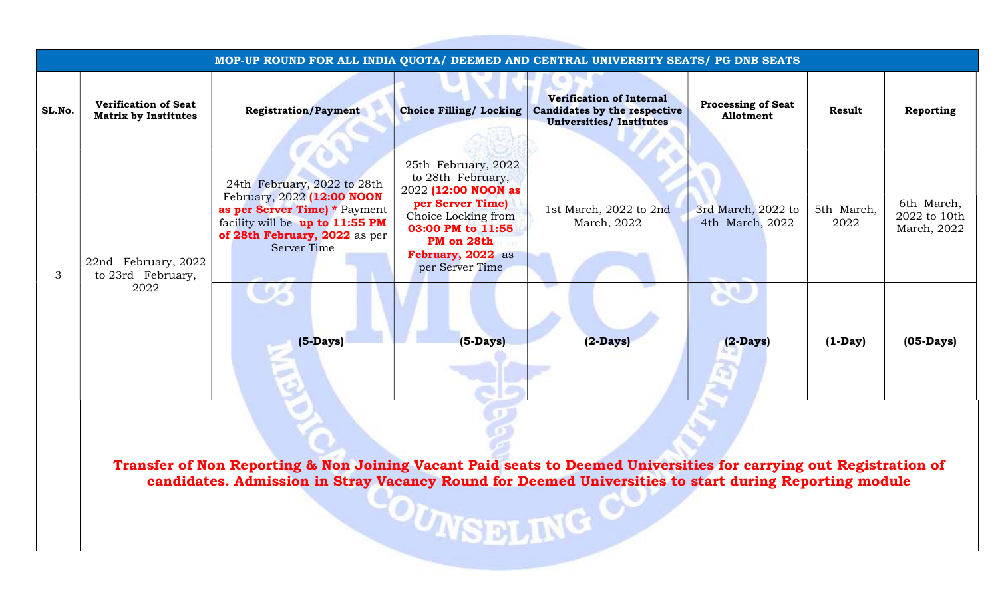| SL.No. | <b>Verification of Seat</b><br><b>Matrix by Institutes</b> | MOP-UP ROUND FOR ALL INDIA QUOTA/ DEEMED AND CENTRAL UNIVERSITY SEATS/ PG DNB SEATS<br><b>Registration/Payment</b>                                                                                                         | <b>Choice Filling/ Locking</b>                                                                                                                                                        | <b>Verification of Internal</b><br>Candidates by the respective<br><b>Universities/ Institutes</b> | <b>Processing of Seat</b><br>Allotment | <b>Result</b>      | Reporting                                 |
|--------|------------------------------------------------------------|----------------------------------------------------------------------------------------------------------------------------------------------------------------------------------------------------------------------------|---------------------------------------------------------------------------------------------------------------------------------------------------------------------------------------|----------------------------------------------------------------------------------------------------|----------------------------------------|--------------------|-------------------------------------------|
| 3      | 22nd February, 2022<br>to 23rd February,<br>2022           | 24th February, 2022 to 28th<br>February, 2022 (12:00 NOON<br>as per Server Time) * Payment<br>facility will be up to 11:55 PM<br>of 28th February, 2022 as per<br><b>Server Time</b>                                       | 25th February, 2022<br>to 28th February,<br>2022 (12:00 NOON as<br>per Server Time)<br>Choice Locking from<br>03:00 PM to 11:55<br>PM on 28th<br>February, 2022 as<br>per Server Time | 1st March, 2022 to 2nd<br>March, 2022                                                              | 3rd March, 2022 to<br>4th March, 2022  | 5th March,<br>2022 | 6th March,<br>2022 to 10th<br>March, 2022 |
|        |                                                            | $(5-Days)$                                                                                                                                                                                                                 | $(5-Days)$                                                                                                                                                                            | $(2-Days)$                                                                                         | $(2-Days)$                             | $(1-Day)$          | $(05-Days)$                               |
|        |                                                            | Transfer of Non Reporting & Non Joining Vacant Paid seats to Deemed Universities for carrying out Registration of<br>candidates. Admission in Stray Vacancy Round for Deemed Universities to start during Reporting module | -OUNSELING CU                                                                                                                                                                         |                                                                                                    |                                        |                    |                                           |